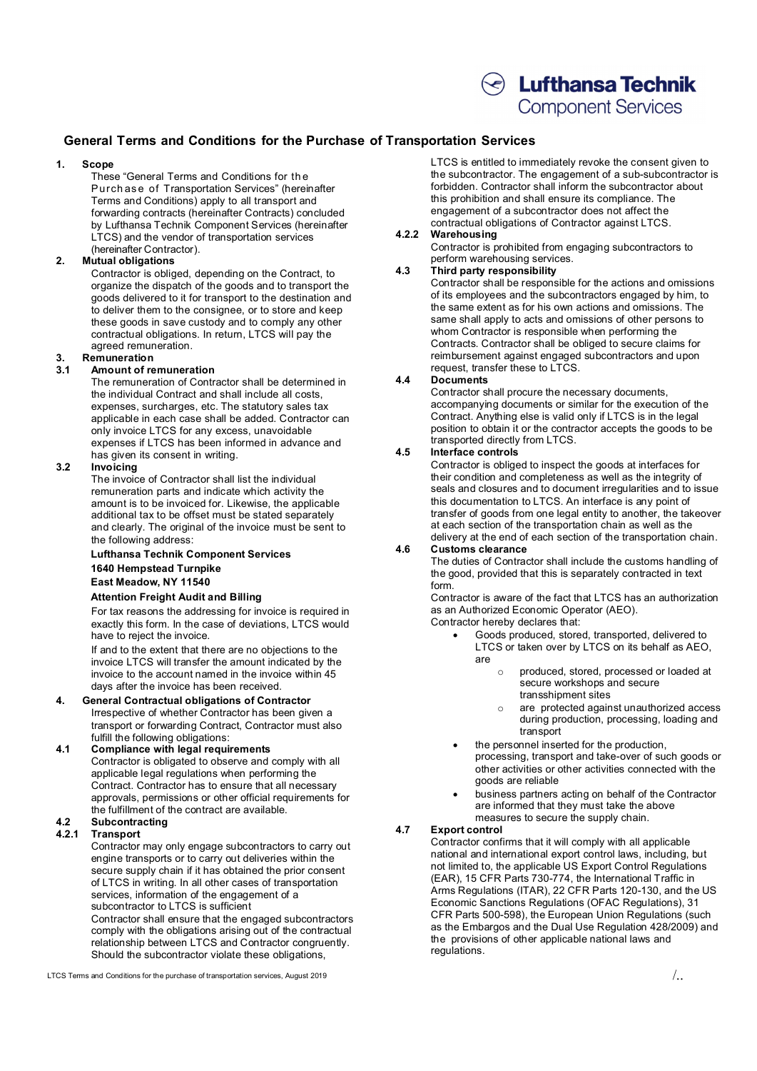# $\textcircled{\ensuremath{\mathcal{C}}}$  Lufthansa Technik

### **Component Services**

### **General Terms and Conditions for the Purchase of Transportation Services**

#### **1. Scope**

These "General Terms and Conditions for th e Purch as e of Transportation Services" (hereinafter Terms and Conditions) apply to all transport and forwarding contracts (hereinafter Contracts) concluded by Lufthansa Technik Component Services (hereinafter LTCS) and the vendor of transportation services (hereinafter Contractor).

#### **2. Mutual obligations**

Contractor is obliged, depending on the Contract, to organize the dispatch of the goods and to transport the goods delivered to it for transport to the destination and to deliver them to the consignee, or to store and keep these goods in save custody and to comply any other contractual obligations. In return, LTCS will pay the agreed remuneration.

## **3. Remuneration**

#### **3.1 Amount of remuneration**

The remuneration of Contractor shall be determined in the individual Contract and shall include all costs, expenses, surcharges, etc. The statutory sales tax applicable in each case shall be added. Contractor can only invoice LTCS for any excess, unavoidable expenses if LTCS has been informed in advance and has given its consent in writing.

#### **3.2 Invoicing**

The invoice of Contractor shall list the individual remuneration parts and indicate which activity the amount is to be invoiced for. Likewise, the applicable additional tax to be offset must be stated separately and clearly. The original of the invoice must be sent to the following address:

#### **Lufthansa Technik Component Services 1640 Hempstead Turnpike East Meadow, NY 11540**

#### **Attention Freight Audit and Billing**

For tax reasons the addressing for invoice is required in exactly this form. In the case of deviations, LTCS would have to reject the invoice.

If and to the extent that there are no objections to the invoice LTCS will transfer the amount indicated by the invoice to the account named in the invoice within 45 days after the invoice has been received.

#### **4. General Contractual obligations of Contractor** Irrespective of whether Contractor has been given a transport or forwarding Contract, Contractor must also fulfill the following obligations:

#### **4.1 Compliance with legal requirements** Contractor is obligated to observe and comply with all applicable legal regulations when performing the Contract. Contractor has to ensure that all necessary approvals, permissions or other official requirements for the fulfillment of the contract are available.

#### **4.2 Subcontracting 4.2.1 Transport**

Contractor may only engage subcontractors to carry out engine transports or to carry out deliveries within the secure supply chain if it has obtained the prior consent of LTCS in writing. In all other cases of transportation services, information of the engagement of a subcontractor to LTCS is sufficient Contractor shall ensure that the engaged subcontractors

comply with the obligations arising out of the contractual relationship between LTCS and Contractor congruently. Should the subcontractor violate these obligations,

LTCS Terms and Conditions for the purchase of transportation services, August 2019  $\ldots$ 

LTCS is entitled to immediately revoke the consent given to the subcontractor. The engagement of a sub-subcontractor is forbidden. Contractor shall inform the subcontractor about this prohibition and shall ensure its compliance. The engagement of a subcontractor does not affect the contractual obligations of Contractor against LTCS.

#### **4.2.2 Warehousing**

Contractor is prohibited from engaging subcontractors to perform warehousing services.

#### **4.3 Third party responsibility**

Contractor shall be responsible for the actions and omissions of its employees and the subcontractors engaged by him, to the same extent as for his own actions and omissions. The same shall apply to acts and omissions of other persons to whom Contractor is responsible when performing the Contracts. Contractor shall be obliged to secure claims for reimbursement against engaged subcontractors and upon request, transfer these to LTCS.

#### **4.4 Documents**

Contractor shall procure the necessary documents, accompanying documents or similar for the execution of the Contract. Anything else is valid only if LTCS is in the legal position to obtain it or the contractor accepts the goods to be transported directly from LTCS.

#### **4.5 Interface controls**

Contractor is obliged to inspect the goods at interfaces for their condition and completeness as well as the integrity of seals and closures and to document irregularities and to issue this documentation to LTCS. An interface is any point of transfer of goods from one legal entity to another, the takeover at each section of the transportation chain as well as the delivery at the end of each section of the transportation chain.

#### **4.6 Customs clearance**

The duties of Contractor shall include the customs handling of the good, provided that this is separately contracted in text form.

Contractor is aware of the fact that LTCS has an authorization as an Authorized Economic Operator (AEO). Contractor hereby declares that:

- Goods produced, stored, transported, delivered to LTCS or taken over by LTCS on its behalf as AEO, are
	- o produced, stored, processed or loaded at secure workshops and secure transshipment sites
	- o are protected against unauthorized access during production, processing, loading and transport
- the personnel inserted for the production, processing, transport and take-over of such goods or other activities or other activities connected with the goods are reliable
- business partners acting on behalf of the Contractor are informed that they must take the above measures to secure the supply chain.

#### **4.7 Export control**

Contractor confirms that it will comply with all applicable national and international export control laws, including, but not limited to, the applicable US Export Control Regulations (EAR), 15 CFR Parts 730-774, the International Traffic in Arms Regulations (ITAR), 22 CFR Parts 120-130, and the US Economic Sanctions Regulations (OFAC Regulations), 31 CFR Parts 500-598), the European Union Regulations (such as the Embargos and the Dual Use Regulation 428/2009) and the provisions of other applicable national laws and regulations.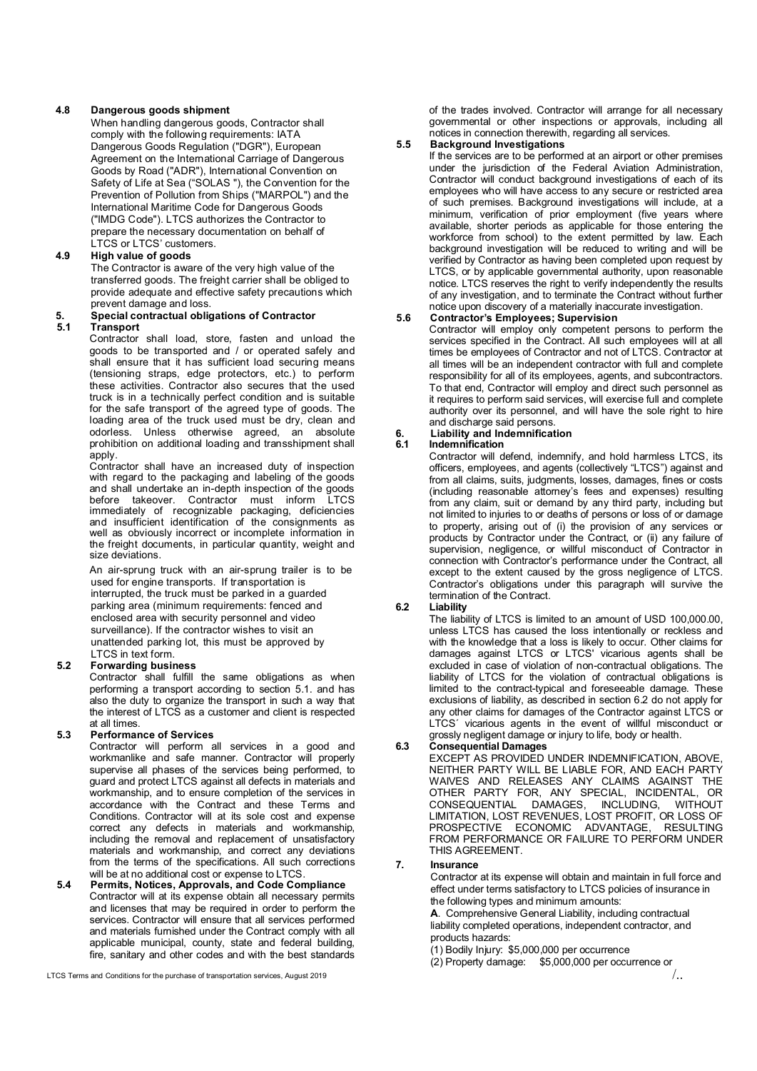#### **4.8 Dangerous goods shipment**

When handling dangerous goods, Contractor shall comply with the following requirements: IATA Dangerous Goods Regulation ("DGR"), European Agreement on the International Carriage of Dangerous Goods by Road ("ADR"), International Convention on Safety of Life at Sea ("SOLAS "), the Convention for the Prevention of Pollution from Ships ("MARPOL") and the International Maritime Code for Dangerous Goods ("IMDG Code"). LTCS authorizes the Contractor to prepare the necessary documentation on behalf of LTCS or LTCS' customers.

#### **4.9 High value of goods**

The Contractor is aware of the very high value of the transferred goods. The freight carrier shall be obliged to provide adequate and effective safety precautions which prevent damage and loss.

## **5. Special contractual obligations of Contractor**

#### **5.1 Transport**

Contractor shall load, store, fasten and unload the goods to be transported and / or operated safely and shall ensure that it has sufficient load securing means (tensioning straps, edge protectors, etc.) to perform these activities. Contractor also secures that the used truck is in a technically perfect condition and is suitable for the safe transport of the agreed type of goods. The loading area of the truck used must be dry, clean and odorless. Unless otherwise agreed, an absolute prohibition on additional loading and transshipment shall apply.

Contractor shall have an increased duty of inspection with regard to the packaging and labeling of the goods and shall undertake an in-depth inspection of the goods before takeover. Contractor must inform LTCS immediately of recognizable packaging, deficiencies and insufficient identification of the consignments as well as obviously incorrect or incomplete information in the freight documents, in particular quantity, weight and size deviations.

An air-sprung truck with an air-sprung trailer is to be used for engine transports. If transportation is interrupted, the truck must be parked in a guarded parking area (minimum requirements: fenced and enclosed area with security personnel and video surveillance). If the contractor wishes to visit an unattended parking lot, this must be approved by LTCS in text form.

#### **5.2 Forwarding business**

Contractor shall fulfill the same obligations as when performing a transport according to section 5.1. and has also the duty to organize the transport in such a way that the interest of LTCS as a customer and client is respected at all times.

#### **5.3 Performance of Services**

Contractor will perform all services in a good and workmanlike and safe manner. Contractor will properly supervise all phases of the services being performed, to guard and protect LTCS against all defects in materials and workmanship, and to ensure completion of the services in accordance with the Contract and these Terms and Conditions. Contractor will at its sole cost and expense correct any defects in materials and workmanship, including the removal and replacement of unsatisfactory materials and workmanship, and correct any deviations from the terms of the specifications. All such corrections will be at no additional cost or expense to LTCS.

**5.4 Permits, Notices, Approvals, and Code Compliance** Contractor will at its expense obtain all necessary permits and licenses that may be required in order to perform the services. Contractor will ensure that all services performed and materials furnished under the Contract comply with all applicable municipal, county, state and federal building, fire, sanitary and other codes and with the best standards

LTCS Terms and Conditions for the purchase of transportation services, August 2019  $\langle ...$ 

of the trades involved. Contractor will arrange for all necessary governmental or other inspections or approvals, including all notices in connection therewith, regarding all services.

#### **5.5 Background Investigations**

If the services are to be performed at an airport or other premises under the jurisdiction of the Federal Aviation Administration, Contractor will conduct background investigations of each of its employees who will have access to any secure or restricted area of such premises. Background investigations will include, at a minimum, verification of prior employment (five years where available, shorter periods as applicable for those entering the workforce from school) to the extent permitted by law. Each background investigation will be reduced to writing and will be verified by Contractor as having been completed upon request by LTCS, or by applicable governmental authority, upon reasonable notice. LTCS reserves the right to verify independently the results of any investigation, and to terminate the Contract without further notice upon discovery of a materially inaccurate investigation.

#### **5.6 Contractor's Employees; Supervision**

Contractor will employ only competent persons to perform the services specified in the Contract. All such employees will at all times be employees of Contractor and not of LTCS. Contractor at all times will be an independent contractor with full and complete responsibility for all of its employees, agents, and subcontractors. To that end, Contractor will employ and direct such personnel as it requires to perform said services, will exercise full and complete authority over its personnel, and will have the sole right to hire and discharge said persons.

### **6. Liability and Indemnification**

#### **6.1 Indemnification**

Contractor will defend, indemnify, and hold harmless LTCS, its officers, employees, and agents (collectively "LTCS") against and from all claims, suits, judgments, losses, damages, fines or costs (including reasonable attorney's fees and expenses) resulting from any claim, suit or demand by any third party, including but not limited to injuries to or deaths of persons or loss of or damage to property, arising out of (i) the provision of any services or products by Contractor under the Contract, or (ii) any failure of supervision, negligence, or willful misconduct of Contractor in connection with Contractor's performance under the Contract, all except to the extent caused by the gross negligence of LTCS. Contractor's obligations under this paragraph will survive the termination of the Contract.

#### **6.2 Liability**

The liability of LTCS is limited to an amount of USD 100,000.00, unless LTCS has caused the loss intentionally or reckless and with the knowledge that a loss is likely to occur. Other claims for damages against LTCS or LTCS' vicarious agents shall be excluded in case of violation of non-contractual obligations. The liability of LTCS for the violation of contractual obligations is limited to the contract-typical and foreseeable damage. These exclusions of liability, as described in section 6.2 do not apply for any other claims for damages of the Contractor against LTCS or LTCS<sup>'</sup> vicarious agents in the event of willful misconduct or grossly negligent damage or injury to life, body or health.

#### **6.3 Consequential Damages**

EXCEPT AS PROVIDED UNDER INDEMNIFICATION, ABOVE, NEITHER PARTY WILL BE LIABLE FOR, AND EACH PARTY WAIVES AND RELEASES ANY CLAIMS AGAINST THE OTHER PARTY FOR, ANY SPECIAL, INCIDENTAL, OR CONSEQUENTIAL DAMAGES, INCLUDING, WITHOUT LIMITATION, LOST REVENUES, LOST PROFIT, OR LOSS OF PROSPECTIVE ECONOMIC ADVANTAGE, FROM PERFORMANCE OR FAILURE TO PERFORM UNDER THIS AGREEMENT.

#### **7. Insurance**

Contractor at its expense will obtain and maintain in full force and effect under terms satisfactory to LTCS policies of insurance in the following types and minimum amounts:

**A**. Comprehensive General Liability, including contractual liability completed operations, independent contractor, and products hazards:

(1) Bodily Injury: \$5,000,000 per occurrence

(2) Property damage: \$5,000,000 per occurrence or